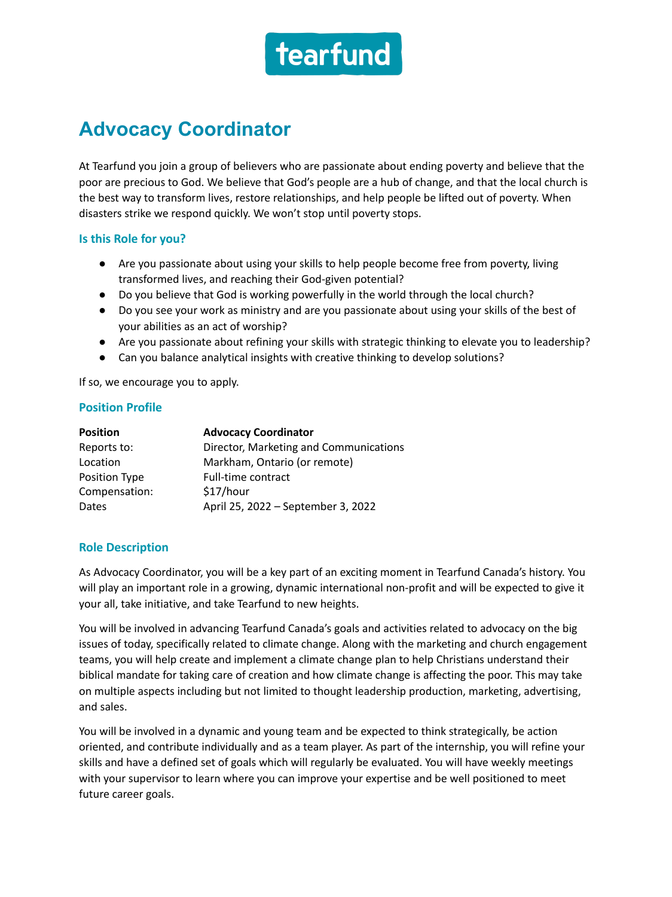

# **Advocacy Coordinator**

At Tearfund you join a group of believers who are passionate about ending poverty and believe that the poor are precious to God. We believe that God's people are a hub of change, and that the local church is the best way to transform lives, restore relationships, and help people be lifted out of poverty. When disasters strike we respond quickly. We won't stop until poverty stops.

### **Is this Role for you?**

- Are you passionate about using your skills to help people become free from poverty, living transformed lives, and reaching their God-given potential?
- Do you believe that God is working powerfully in the world through the local church?
- Do you see your work as ministry and are you passionate about using your skills of the best of your abilities as an act of worship?
- Are you passionate about refining your skills with strategic thinking to elevate you to leadership?
- Can you balance analytical insights with creative thinking to develop solutions?

If so, we encourage you to apply.

### **Position Profile**

| <b>Position</b> | <b>Advocacy Coordinator</b>            |
|-----------------|----------------------------------------|
| Reports to:     | Director, Marketing and Communications |
| Location        | Markham, Ontario (or remote)           |
| Position Type   | Full-time contract                     |
| Compensation:   | \$17/hour                              |
| Dates           | April 25, 2022 - September 3, 2022     |

### **Role Description**

As Advocacy Coordinator, you will be a key part of an exciting moment in Tearfund Canada's history. You will play an important role in a growing, dynamic international non-profit and will be expected to give it your all, take initiative, and take Tearfund to new heights.

You will be involved in advancing Tearfund Canada's goals and activities related to advocacy on the big issues of today, specifically related to climate change. Along with the marketing and church engagement teams, you will help create and implement a climate change plan to help Christians understand their biblical mandate for taking care of creation and how climate change is affecting the poor. This may take on multiple aspects including but not limited to thought leadership production, marketing, advertising, and sales.

You will be involved in a dynamic and young team and be expected to think strategically, be action oriented, and contribute individually and as a team player. As part of the internship, you will refine your skills and have a defined set of goals which will regularly be evaluated. You will have weekly meetings with your supervisor to learn where you can improve your expertise and be well positioned to meet future career goals.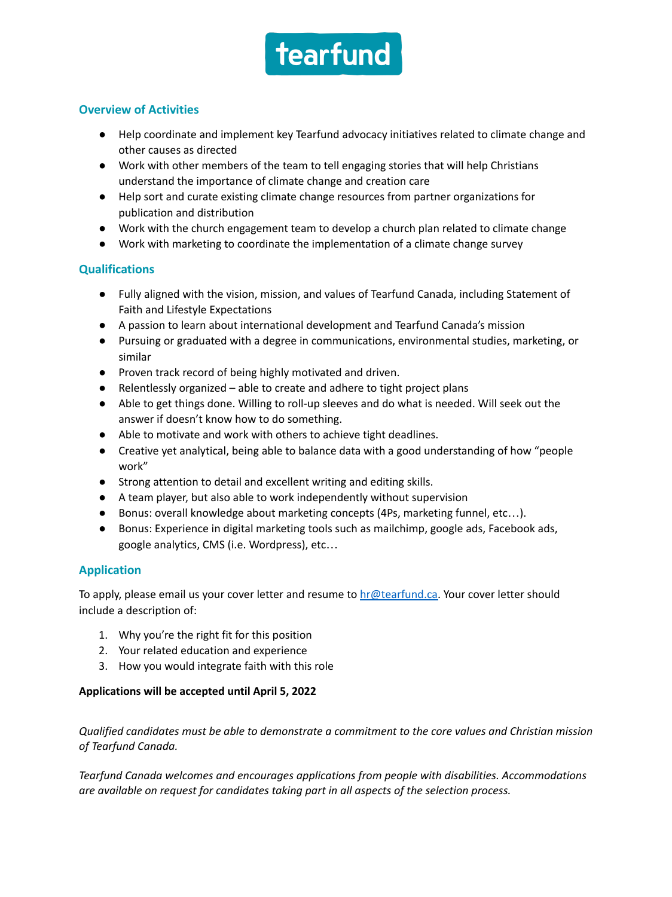

## **Overview of Activities**

- Help coordinate and implement key Tearfund advocacy initiatives related to climate change and other causes as directed
- Work with other members of the team to tell engaging stories that will help Christians understand the importance of climate change and creation care
- Help sort and curate existing climate change resources from partner organizations for publication and distribution
- Work with the church engagement team to develop a church plan related to climate change
- Work with marketing to coordinate the implementation of a climate change survey

## **Qualifications**

- Fully aligned with the vision, mission, and values of Tearfund Canada, including Statement of Faith and Lifestyle Expectations
- A passion to learn about international development and Tearfund Canada's mission
- Pursuing or graduated with a degree in communications, environmental studies, marketing, or similar
- Proven track record of being highly motivated and driven.
- Relentlessly organized able to create and adhere to tight project plans
- Able to get things done. Willing to roll-up sleeves and do what is needed. Will seek out the answer if doesn't know how to do something.
- Able to motivate and work with others to achieve tight deadlines.
- Creative yet analytical, being able to balance data with a good understanding of how "people work"
- Strong attention to detail and excellent writing and editing skills.
- A team player, but also able to work independently without supervision
- Bonus: overall knowledge about marketing concepts (4Ps, marketing funnel, etc…).
- Bonus: Experience in digital marketing tools such as mailchimp, google ads, Facebook ads, google analytics, CMS (i.e. Wordpress), etc…

## **Application**

To apply, please email us your cover letter and resume to  $hr@testund.ca.$  Your cover letter should include a description of:

- 1. Why you're the right fit for this position
- 2. Your related education and experience
- 3. How you would integrate faith with this role

### **Applications will be accepted until April 5, 2022**

*Qualified candidates must be able to demonstrate a commitment to the core values and Christian mission of Tearfund Canada.*

*Tearfund Canada welcomes and encourages applications from people with disabilities. Accommodations are available on request for candidates taking part in all aspects of the selection process.*